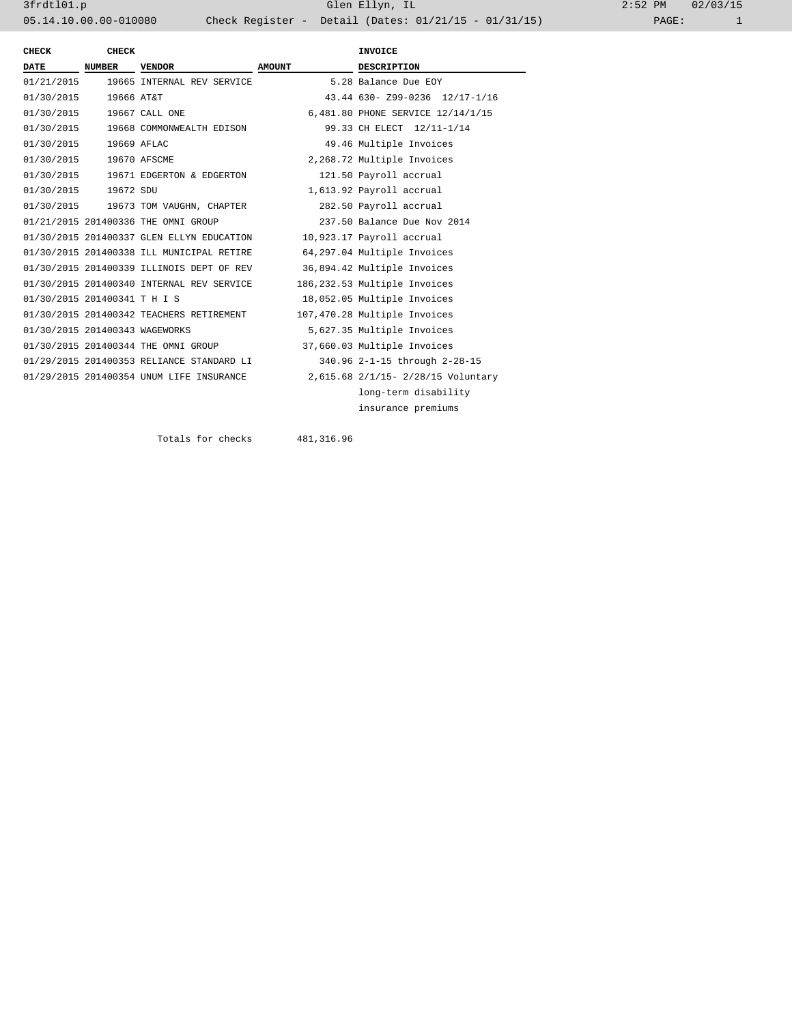3frdtl01.p Glen Ellyn, IL 2:52 PM 02/03/15 05.14.10.00.00-010080 Check Register - Detail (Dates: 01/21/15 - 01/31/15)

| CHECK                          | <b>CHECK</b>  |                                           |               | <b>INVOICE</b>                     |
|--------------------------------|---------------|-------------------------------------------|---------------|------------------------------------|
| DATE                           | <b>NUMBER</b> | <b>VENDOR</b>                             | <b>AMOUNT</b> | <b>DESCRIPTION</b>                 |
| 01/21/2015                     |               | 19665 INTERNAL REV SERVICE                |               | 5.28 Balance Due EOY               |
| 01/30/2015                     | 19666 AT&T    |                                           |               | 43.44 630- Z99-0236 12/17-1/16     |
| 01/30/2015                     |               | 19667 CALL ONE                            |               | 6,481.80 PHONE SERVICE 12/14/1/15  |
|                                |               | 01/30/2015 19668 COMMONWEALTH EDISON      |               | 99.33 CH ELECT 12/11-1/14          |
| 01/30/2015                     | 19669 AFLAC   |                                           |               | 49.46 Multiple Invoices            |
| 01/30/2015 19670 AFSCME        |               |                                           |               | 2,268.72 Multiple Invoices         |
|                                |               | 01/30/2015 19671 EDGERTON & EDGERTON      |               | 121.50 Payroll accrual             |
| 01/30/2015 19672 SDU           |               |                                           |               | 1,613.92 Payroll accrual           |
|                                |               | 01/30/2015 19673 TOM VAUGHN, CHAPTER      |               | 282.50 Payroll accrual             |
|                                |               | 01/21/2015 201400336 THE OMNI GROUP       |               | 237.50 Balance Due Nov 2014        |
|                                |               | 01/30/2015 201400337 GLEN ELLYN EDUCATION |               | 10,923.17 Payroll accrual          |
|                                |               | 01/30/2015 201400338 ILL MUNICIPAL RETIRE |               | 64,297.04 Multiple Invoices        |
|                                |               | 01/30/2015 201400339 ILLINOIS DEPT OF REV |               | 36,894.42 Multiple Invoices        |
|                                |               | 01/30/2015 201400340 INTERNAL REV SERVICE |               | 186,232.53 Multiple Invoices       |
| 01/30/2015 201400341 T H I S   |               |                                           |               | 18,052.05 Multiple Invoices        |
|                                |               | 01/30/2015 201400342 TEACHERS RETIREMENT  |               | 107,470.28 Multiple Invoices       |
| 01/30/2015 201400343 WAGEWORKS |               |                                           |               | 5,627.35 Multiple Invoices         |
|                                |               | 01/30/2015 201400344 THE OMNI GROUP       |               | 37,660.03 Multiple Invoices        |
|                                |               | 01/29/2015 201400353 RELIANCE STANDARD LI |               | 340.96 2-1-15 through 2-28-15      |
|                                |               | 01/29/2015 201400354 UNUM LIFE INSURANCE  |               | 2,615.68 2/1/15- 2/28/15 Voluntary |
|                                |               |                                           |               | long-term disability               |
|                                |               |                                           |               | insurance premiums                 |
|                                |               |                                           |               |                                    |

Totals for checks 481,316.96